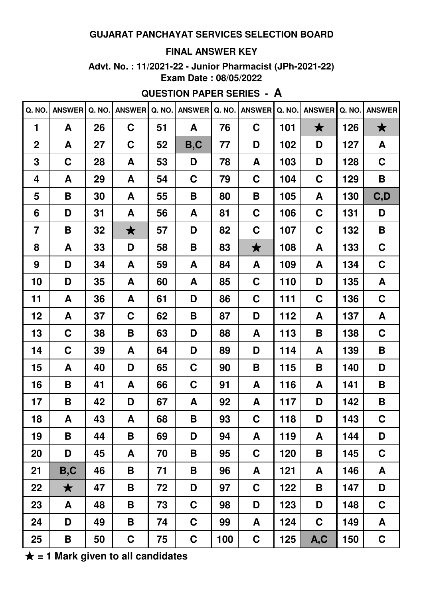#### **FINAL ANSWER KEY**

Advt. No.: 11/2021-22 - Junior Pharmacist (JPh-2021-22) Exam Date: 08/05/2022

# **QUESTION PAPER SERIES - A**

| Q. NO.         | <b>ANSWER</b> | Q. NO. | <b>ANSWER</b>      | Q. NO. | <b>ANSWER</b> | Q. NO. | <b>ANSWER</b> | Q. NO. | <b>ANSWER</b> | Q. NO. | <b>ANSWER</b> |
|----------------|---------------|--------|--------------------|--------|---------------|--------|---------------|--------|---------------|--------|---------------|
| 1              | A             | 26     | $\mathbf C$        | 51     | A             | 76     | $\mathbf C$   | 101    | $\bigstar$    | 126    | $\bigstar$    |
| $\overline{2}$ | A             | 27     | $\mathbf C$        | 52     | B, C          | 77     | D             | 102    | D             | 127    | A             |
| 3              | $\mathbf C$   | 28     | A                  | 53     | D             | 78     | A             | 103    | D             | 128    | $\mathbf C$   |
| 4              | A             | 29     | A                  | 54     | $\mathbf C$   | 79     | $\mathbf C$   | 104    | C             | 129    | B             |
| 5              | B             | 30     | A                  | 55     | B             | 80     | B             | 105    | A             | 130    | C, D          |
| 6              | D             | 31     | A                  | 56     | A             | 81     | $\mathbf C$   | 106    | $\mathbf C$   | 131    | D             |
| $\overline{7}$ | B             | 32     | $\bigstar$         | 57     | D             | 82     | $\mathbf C$   | 107    | C             | 132    | B             |
| 8              | A             | 33     | D                  | 58     | B             | 83     | $\bigstar$    | 108    | A             | 133    | $\mathbf C$   |
| 9              | D             | 34     | A                  | 59     | A             | 84     | A             | 109    | A             | 134    | $\mathbf C$   |
| 10             | D             | 35     | A                  | 60     | A             | 85     | $\mathbf C$   | 110    | D             | 135    | A             |
| 11             | A             | 36     | A                  | 61     | D             | 86     | $\mathbf C$   | 111    | C             | 136    | $\mathbf C$   |
| 12             | A             | 37     | $\mathbf C$        | 62     | B             | 87     | D             | 112    | A             | 137    | A             |
| 13             | $\mathbf C$   | 38     | B                  | 63     | D             | 88     | A             | 113    | B             | 138    | $\mathbf C$   |
| 14             | $\mathbf C$   | 39     | A                  | 64     | D             | 89     | D             | 114    | A             | 139    | B             |
| 15             | A             | 40     | D                  | 65     | $\mathbf C$   | 90     | B             | 115    | B             | 140    | D             |
| 16             | B             | 41     | A                  | 66     | $\mathbf C$   | 91     | A             | 116    | A             | 141    | B             |
| 17             | Β             | 42     | D                  | 67     | A             | 92     | A             | 117    | D             | 142    | B             |
| 18             | A             | 43     | $\pmb{\mathsf{A}}$ | 68     | $\mathsf B$   | 93     | $\mathbf C$   | 118    | D             | 143    | $\mathbf C$   |
| 19             | B             | 44     | B                  | 69     | D             | 94     | A             | 119    | A             | 144    | D             |
| 20             | D             | 45     | A                  | 70     | B             | 95     | $\mathbf C$   | 120    | B             | 145    | $\mathbf C$   |
| 21             | B, C          | 46     | Β                  | 71     | B             | 96     | A             | 121    | A             | 146    | A             |
| 22             | $\bigstar$    | 47     | Β                  | 72     | D             | 97     | $\mathbf C$   | 122    | B             | 147    | D             |
| 23             | A             | 48     | Β                  | 73     | $\mathbf C$   | 98     | D             | 123    | D             | 148    | $\mathbf C$   |
| 24             | D             | 49     | Β                  | 74     | $\mathbf C$   | 99     | A             | 124    | $\mathbf C$   | 149    | A             |
| 25             | B             | 50     | C                  | 75     | $\mathbf C$   | 100    | $\mathbf C$   | 125    | A, C          | 150    | $\mathbf C$   |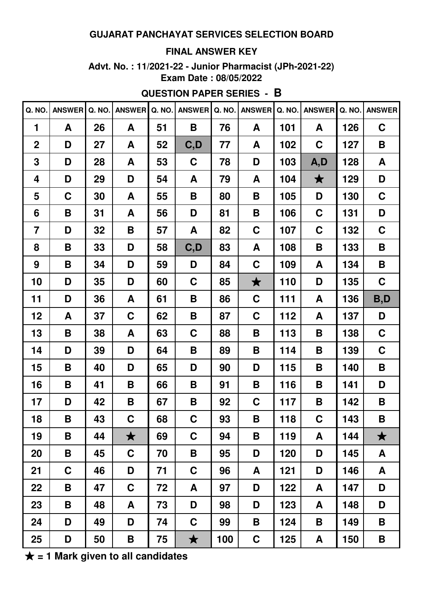#### **FINAL ANSWER KEY**

**Advt. No. : 11/2021-22 - Junior Pharmacist (JPh-2021-22) Exam Date : 08/05/2022**

# **QUESTION PAPER SERIES - B**

| Q. NO.         | <b>ANSWER</b> | Q. NO. | <b>ANSWER</b> | Q. NO. | <b>ANSWER</b> | Q. NO. | <b>ANSWER</b>           | Q. NO. | <b>ANSWER</b> | Q. NO. | <b>ANSWER</b> |
|----------------|---------------|--------|---------------|--------|---------------|--------|-------------------------|--------|---------------|--------|---------------|
| 1              | A             | 26     | A             | 51     | B             | 76     | A                       | 101    | A             | 126    | $\mathbf C$   |
| $\overline{2}$ | D             | 27     | A             | 52     | C, D          | 77     | A                       | 102    | $\mathbf C$   | 127    | B             |
| 3              | D             | 28     | A             | 53     | $\mathbf C$   | 78     | D                       | 103    | A, D          | 128    | A             |
| 4              | D             | 29     | D             | 54     | A             | 79     | A                       | 104    | $\bigstar$    | 129    | D             |
| 5              | $\mathbf C$   | 30     | A             | 55     | B             | 80     | B                       | 105    | D             | 130    | $\mathbf C$   |
| 6              | B             | 31     | A             | 56     | D             | 81     | B                       | 106    | $\mathbf C$   | 131    | D             |
| $\overline{7}$ | D             | 32     | B             | 57     | A             | 82     | C                       | 107    | $\mathbf C$   | 132    | $\mathbf C$   |
| 8              | B             | 33     | D             | 58     | C, D          | 83     | A                       | 108    | B             | 133    | B             |
| 9              | B             | 34     | D             | 59     | D             | 84     | $\mathbf C$             | 109    | A             | 134    | B             |
| 10             | D             | 35     | D             | 60     | $\mathbf C$   | 85     | $\bigstar$              | 110    | D             | 135    | $\mathbf C$   |
| 11             | D             | 36     | A             | 61     | B             | 86     | C                       | 111    | A             | 136    | B,D           |
| 12             | A             | 37     | $\mathbf C$   | 62     | B             | 87     | C                       | 112    | A             | 137    | D             |
| 13             | B             | 38     | A             | 63     | C             | 88     | Β                       | 113    | B             | 138    | $\mathbf C$   |
| 14             | D             | 39     | D             | 64     | Β             | 89     | Β                       | 114    | B             | 139    | $\mathbf C$   |
| 15             | B             | 40     | D             | 65     | D             | 90     | D                       | 115    | B             | 140    | B             |
| 16             | B             | 41     | B             | 66     | Β             | 91     | Β                       | 116    | B             | 141    | D             |
| 17             | D             | 42     | B             | 67     | B             | 92     | C                       | 117    | B             | 142    | B             |
| 18             | B             | 43     | $\mathbf C$   | 68     | C             | 93     | $\overline{\mathbf{B}}$ | 118    | $\mathbf C$   | 143    | B             |
| 19             | B             | 44     | $\bigstar$    | 69     | C             | 94     | Β                       | 119    | A             | 144    | $\bigstar$    |
| 20             | B             | 45     | $\mathbf C$   | 70     | B             | 95     | D                       | 120    | D             | 145    | A             |
| 21             | $\mathbf C$   | 46     | D             | 71     | $\mathbf C$   | 96     | A                       | 121    | D             | 146    | A             |
| 22             | B             | 47     | $\mathbf C$   | 72     | A             | 97     | D                       | 122    | A             | 147    | D             |
| 23             | B             | 48     | A             | 73     | D             | 98     | D                       | 123    | A             | 148    | D             |
| 24             | D             | 49     | D             | 74     | $\mathbf C$   | 99     | Β                       | 124    | B             | 149    | B             |
| 25             | D             | 50     | B             | 75     | $\bigstar$    | 100    | C                       | 125    | A             | 150    | B             |

★ **= 1 Mark given to all candidates**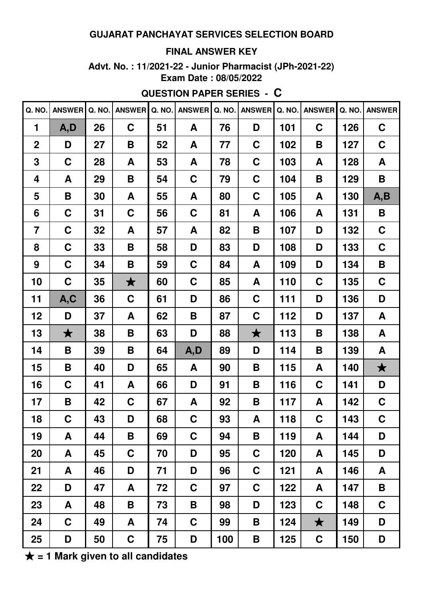#### **FINAL ANSWER KEY**

Advt. No.: 11/2021-22 - Junior Pharmacist (JPh-2021-22) Exam Date: 08/05/2022

# **QUESTION PAPER SERIES - C**

| Q. NO.         | <b>ANSWER</b> | Q. NO. | <b>ANSWER</b> | Q. NO. | <b>ANSWER</b> | Q. NO. | <b>ANSWER</b> | Q. NO. | <b>ANSWER</b> | Q. NO. | <b>ANSWER</b> |
|----------------|---------------|--------|---------------|--------|---------------|--------|---------------|--------|---------------|--------|---------------|
| $\mathbf 1$    | A, D          | 26     | $\mathbf C$   | 51     | A             | 76     | D             | 101    | $\mathbf C$   | 126    | $\mathbf C$   |
| $\overline{2}$ | D             | 27     | B             | 52     | A             | 77     | C             | 102    | B             | 127    | $\mathbf C$   |
| 3              | $\mathbf C$   | 28     | A             | 53     | A             | 78     | C             | 103    | A             | 128    | A             |
| 4              | A             | 29     | B             | 54     | $\mathbf C$   | 79     | C             | 104    | B             | 129    | B             |
| 5              | B             | 30     | A             | 55     | A             | 80     | $\mathbf C$   | 105    | A             | 130    | A, B          |
| $6\phantom{1}$ | $\mathbf C$   | 31     | $\mathbf C$   | 56     | $\mathbf C$   | 81     | A             | 106    | A             | 131    | B             |
| $\overline{7}$ | $\mathbf C$   | 32     | A             | 57     | A             | 82     | B             | 107    | D             | 132    | $\mathbf C$   |
| 8              | $\mathbf C$   | 33     | B             | 58     | D             | 83     | D             | 108    | D             | 133    | $\mathbf C$   |
| 9              | $\mathbf C$   | 34     | B             | 59     | $\mathbf C$   | 84     | A             | 109    | D             | 134    | B             |
| 10             | $\mathbf C$   | 35     | $\bigstar$    | 60     | $\mathbf C$   | 85     | A             | 110    | $\mathbf C$   | 135    | $\mathbf C$   |
| 11             | A, C          | 36     | $\mathbf C$   | 61     | D             | 86     | C             | 111    | D             | 136    | D             |
| 12             | D             | 37     | A             | 62     | Β             | 87     | C             | 112    | D             | 137    | A             |
| 13             | $\bigstar$    | 38     | B             | 63     | D             | 88     | $\bigstar$    | 113    | B             | 138    | A             |
| 14             | B             | 39     | B             | 64     | A, D          | 89     | D             | 114    | B             | 139    | A             |
| 15             | B             | 40     | D             | 65     | A             | 90     | B             | 115    | A             | 140    | $\bigstar$    |
| 16             | $\mathbf C$   | 41     | A             | 66     | D             | 91     | B             | 116    | $\mathbf C$   | 141    | D             |
| 17             | B             | 42     | $\mathbf C$   | 67     | A             | 92     | Β             | 117    | A             | 142    | $\mathbf C$   |
| 18             | $\mathbf C$   | 43     | D             | 68     | $\mathbf C$   | 93     | A             | 118    | $\mathbf C$   | 143    | $\mathbf C$   |
| 19             | A             | 44     | B             | 69     | $\mathbf C$   | 94     | B             | 119    | A             | 144    | D             |
| 20             | A             | 45     | C             | 70     | D             | 95     | C             | 120    | A             | 145    | D             |
| 21             | A             | 46     | D             | 71     | D             | 96     | C             | 121    | A             | 146    | A             |
| 22             | D             | 47     | A             | 72     | $\mathbf C$   | 97     | C             | 122    | A             | 147    | B             |
| 23             | A             | 48     | B             | 73     | B             | 98     | D             | 123    | $\mathbf C$   | 148    | $\mathbf C$   |
| 24             | $\mathbf C$   | 49     | A             | 74     | $\mathbf C$   | 99     | B             | 124    | $\bigstar$    | 149    | D             |
| 25             | D             | 50     | C             | 75     | D             | 100    | B             | 125    | $\mathbf C$   | 150    | D             |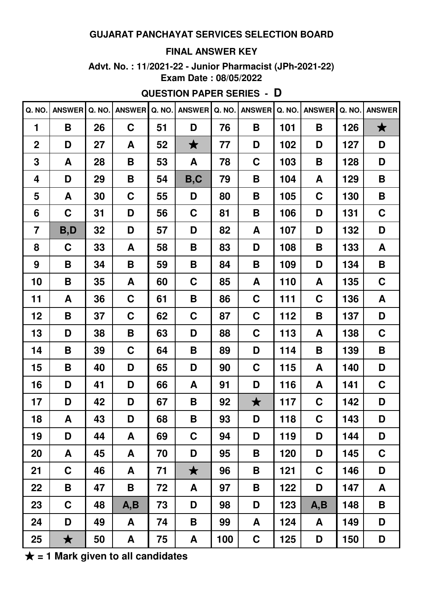#### **FINAL ANSWER KEY**

Advt. No.: 11/2021-22 - Junior Pharmacist (JPh-2021-22) Exam Date: 08/05/2022

# **QUESTION PAPER SERIES - D**

| Q. NO.         | ANSWER Q. NO. |    | <b>ANSWER</b> | Q. NO. | <b>ANSWER</b> | Q. NO. | ANSWER Q. NO. |     | <b>ANSWER</b> | Q. NO. | <b>ANSWER</b> |
|----------------|---------------|----|---------------|--------|---------------|--------|---------------|-----|---------------|--------|---------------|
| $\mathbf 1$    | B             | 26 | $\mathbf C$   | 51     | D             | 76     | B             | 101 | B             | 126    | $\bigstar$    |
| $\overline{2}$ | D             | 27 | A             | 52     | $\bigstar$    | 77     | D             | 102 | D             | 127    | D             |
| 3              | A             | 28 | B             | 53     | A             | 78     | $\mathbf C$   | 103 | B             | 128    | D             |
| 4              | D             | 29 | B             | 54     | B, C          | 79     | B             | 104 | A             | 129    | B             |
| 5              | A             | 30 | $\mathbf C$   | 55     | D             | 80     | B             | 105 | $\mathbf C$   | 130    | B             |
| 6              | $\mathbf C$   | 31 | D             | 56     | $\mathbf C$   | 81     | B             | 106 | D             | 131    | $\mathbf C$   |
| $\overline{7}$ | B,D           | 32 | D             | 57     | D             | 82     | A             | 107 | D             | 132    | D             |
| 8              | $\mathbf C$   | 33 | A             | 58     | B             | 83     | D             | 108 | B             | 133    | A             |
| 9              | B             | 34 | B             | 59     | B             | 84     | B             | 109 | D             | 134    | B             |
| 10             | B             | 35 | A             | 60     | $\mathbf C$   | 85     | A             | 110 | A             | 135    | $\mathbf C$   |
| 11             | A             | 36 | $\mathbf C$   | 61     | B             | 86     | $\mathbf C$   | 111 | $\mathbf C$   | 136    | A             |
| 12             | B             | 37 | $\mathbf C$   | 62     | $\mathbf C$   | 87     | $\mathbf C$   | 112 | B             | 137    | D             |
| 13             | D             | 38 | B             | 63     | D             | 88     | C             | 113 | A             | 138    | $\mathbf C$   |
| 14             | B             | 39 | $\mathbf C$   | 64     | B             | 89     | D             | 114 | B             | 139    | B             |
| 15             | B             | 40 | D             | 65     | D             | 90     | C             | 115 | A             | 140    | D             |
| 16             | D             | 41 | D             | 66     | A             | 91     | D             | 116 | A             | 141    | $\mathbf C$   |
| 17             | D             | 42 | D             | 67     | B             | 92     | $\bigstar$    | 117 | $\mathbf C$   | 142    | D             |
| 18             | A             | 43 | D             | 68     | B             | 93     | D             | 118 | $\mathbf C$   | 143    | D             |
| 19             | D             | 44 | A             | 69     | $\mathbf C$   | 94     | D             | 119 | D             | 144    | D             |
| 20             | A             | 45 | A             | 70     | D             | 95     | B             | 120 | D             | 145    | $\mathbf C$   |
| 21             | $\mathbf C$   | 46 | A             | 71     | $\bigstar$    | 96     | B             | 121 | $\mathbf C$   | 146    | D             |
| 22             | B             | 47 | B             | 72     | A             | 97     | B             | 122 | D             | 147    | A             |
| 23             | $\mathbf C$   | 48 | A, B          | 73     | D             | 98     | D             | 123 | A, B          | 148    | B             |
| 24             | D             | 49 | A             | 74     | B             | 99     | A             | 124 | A             | 149    | D             |
| 25             | $\bigstar$    | 50 | A             | 75     | A             | 100    | $\mathbf C$   | 125 | D             | 150    | D             |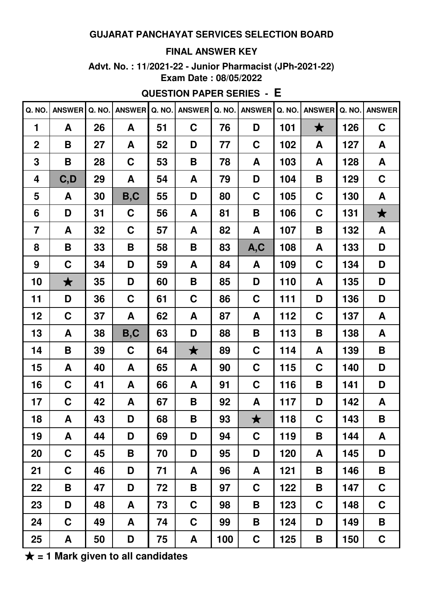#### **FINAL ANSWER KEY**

Advt. No.: 11/2021-22 - Junior Pharmacist (JPh-2021-22) Exam Date: 08/05/2022

**QUESTION PAPER SERIES - E** 

|                | Q. NO. ANSWER | Q. NO. | <b>ANSWER</b>      | Q. NO. | <b>ANSWER</b> | Q. NO. | <b>ANSWER</b>        | Q. NO. | <b>ANSWER</b> | Q. NO. | <b>ANSWER</b> |
|----------------|---------------|--------|--------------------|--------|---------------|--------|----------------------|--------|---------------|--------|---------------|
| 1              | A             | 26     | A                  | 51     | $\mathbf C$   | 76     | D                    | 101    | $\bigstar$    | 126    | $\mathbf C$   |
| $\overline{2}$ | B             | 27     | A                  | 52     | D             | 77     | C                    | 102    | A             | 127    | A             |
| 3              | B             | 28     | $\mathbf C$        | 53     | B             | 78     | A                    | 103    | A             | 128    | A             |
| 4              | C, D          | 29     | A                  | 54     | A             | 79     | D                    | 104    | B             | 129    | $\mathbf C$   |
| 5              | A             | 30     | B, C               | 55     | D             | 80     | $\mathbf C$          | 105    | $\mathbf C$   | 130    | A             |
| 6              | D             | 31     | $\mathbf C$        | 56     | A             | 81     | B                    | 106    | C             | 131    | $\bigstar$    |
| $\overline{7}$ | A             | 32     | $\mathbf C$        | 57     | A             | 82     | A                    | 107    | B             | 132    | A             |
| 8              | B             | 33     | $\pmb{\mathsf{B}}$ | 58     | B             | 83     | A, C                 | 108    | A             | 133    | D             |
| 9              | $\mathbf C$   | 34     | D                  | 59     | A             | 84     | A                    | 109    | $\mathbf C$   | 134    | D             |
| 10             | $\bigstar$    | 35     | D                  | 60     | B             | 85     | D                    | 110    | A             | 135    | D             |
| 11             | D             | 36     | $\mathbf C$        | 61     | $\mathbf C$   | 86     | $\mathbf C$          | 111    | D             | 136    | D             |
| 12             | $\mathbf C$   | 37     | A                  | 62     | A             | 87     | A                    | 112    | $\mathbf C$   | 137    | A             |
| 13             | A             | 38     | B, C               | 63     | D             | 88     | B                    | 113    | B             | 138    | A             |
| 14             | B             | 39     | $\mathbf C$        | 64     | $\bigstar$    | 89     | C                    | 114    | A             | 139    | B             |
| 15             | A             | 40     | A                  | 65     | A             | 90     | $\mathbf C$          | 115    | $\mathbf C$   | 140    | D             |
| 16             | $\mathbf C$   | 41     | A                  | 66     | A             | 91     | $\mathbf C$          | 116    | B             | 141    | D             |
| 17             | $\mathbf C$   | 42     | A                  | 67     | B             | 92     | A                    | 117    | D             | 142    | A             |
| 18             | A             | 43     | D                  | 68     | B             | 93     | $\blacktriangledown$ | 118    | $\mathbf C$   | 143    | B             |
| 19             | A             | 44     | D                  | 69     | D             | 94     | $\mathbf C$          | 119    | B             | 144    | A             |
| 20             | $\mathbf C$   | 45     | B                  | 70     | D             | 95     | D                    | 120    | A             | 145    | D             |
| 21             | $\mathbf C$   | 46     | D                  | 71     | A             | 96     | A                    | 121    | B             | 146    | B             |
| 22             | B             | 47     | D                  | 72     | B             | 97     | $\mathbf C$          | 122    | B             | 147    | $\mathbf C$   |
| 23             | D             | 48     | A                  | 73     | C             | 98     | Β                    | 123    | C             | 148    | $\mathbf C$   |
| 24             | $\mathbf C$   | 49     | A                  | 74     | $\mathbf C$   | 99     | B                    | 124    | D             | 149    | B             |
| 25             | A             | 50     | D                  | 75     | A             | 100    | $\mathbf C$          | 125    | Β             | 150    | $\mathbf C$   |